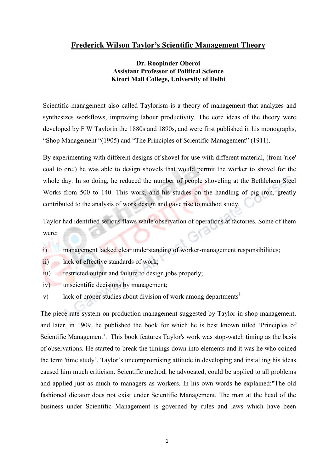# Frederick Wilson Taylor's Scientific Management Theory

## Dr. Roopinder Oberoi Assistant Professor of Political Science Kirori Mall College, University of Delhi

Scientific management also called Taylorism is a theory of management that [analyzes](http://en.wikipedia.org/wiki/Analysis) and synthesizes [workflows](http://en.wikipedia.org/wiki/Workflow), improving [labour productivity](http://en.wikipedia.org/wiki/Labour_productivity). The core ideas of the theory were developed by F W Taylorin the 1880s and 1890s, and were first published in his [monographs](http://en.wikipedia.org/wiki/Monograph), "Shop Management "(1905) and ["The Principles of Scientific Management](http://en.wikipedia.org/wiki/The_Principles_of_Scientific_Management)" (1911).

By experimenting with different designs of shovel for use with different material, (from 'rice' coal to ore,) he was able to design shovels that would permit the worker to shovel for the whole day. In so doing, he reduced the number of people shoveling at the Bethlehem Steel Works from 500 to 140. This work, and his studies on the handling of pig iron, greatly contributed to the analysis of work design and gave rise to method study.

Taylor had identified serious flaws while observation of operations at factories. Some of them were:

- i) management lacked clear understanding of worker-management responsibilities;
- ii) lack of effective standards of work;
- iii) restricted output and failure to design jobs properly;
- iv) unscientific decisions by management;
- v) lack of proper studies about division of work among departments<sup>1</sup>

The piece rate system on production management suggested by Taylor in shop management, and later, in 1909, he published the book for which he is best known titled 'Principles of Scientific Management'. This book features Taylor's work was stop-watch timing as the basis of observations. He started to break the timings down into elements and it was he who coined the term 'time study'. Taylor's uncompromising attitude in developing and installing his ideas caused him much criticism. Scientific method, he advocated, could be applied to all problems and applied just as much to managers as workers. In his own words he explained:"The old fashioned dictator does not exist under Scientific Management. The man at the head of the business under Scientific Management is governed by rules and laws which have been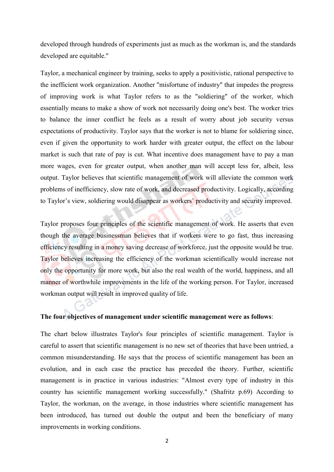developed through hundreds of experiments just as much as the workman is, and the standards developed are equitable."

Taylor, a mechanical engineer by training, seeks to apply a positivistic, rational perspective to the inefficient work organization. Another "misfortune of industry" that impedes the progress of improving work is what Taylor refers to as the "soldiering" of the worker, which essentially means to make a show of work not necessarily doing one's best. The worker tries to balance the inner conflict he feels as a result of worry about job security versus expectations of productivity. Taylor says that the worker is not to blame for soldiering since, even if given the opportunity to work harder with greater output, the effect on the labour market is such that rate of pay is cut. What incentive does management have to pay a man more wages, even for greater output, when another man will accept less for, albeit, less output. Taylor believes that scientific management of work will alleviate the common work problems of inefficiency, slow rate of work, and decreased productivity. Logically, according to Taylor's view, soldiering would disappear as workers' productivity and security improved.

Taylor proposes four principles of the scientific management of work. He asserts that even though the average businessman believes that if workers were to go fast, thus increasing efficiency resulting in a money saving decrease of workforce, just the opposite would be true. Taylor believes increasing the efficiency of the workman scientifically would increase not only the opportunity for more work, but also the real wealth of the world, happiness, and all manner of worthwhile improvements in the life of the working person. For Taylor, increased workman output will result in improved quality of life.

#### The four objectives of management under scientific management were as follows:

The chart below illustrates Taylor's four principles of scientific management. Taylor is careful to assert that scientific management is no new set of theories that have been untried, a common misunderstanding. He says that the process of scientific management has been an evolution, and in each case the practice has preceded the theory. Further, scientific management is in practice in various industries: "Almost every type of industry in this country has scientific management working successfully." (Shafritz p.69) According to Taylor, the workman, on the average, in those industries where scientific management has been introduced, has turned out double the output and been the beneficiary of many improvements in working conditions.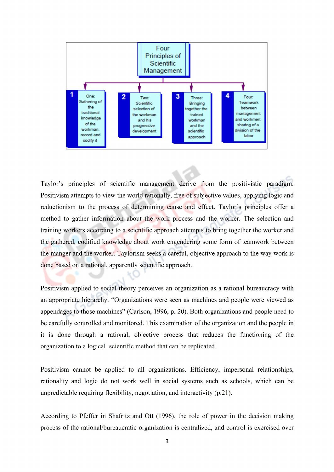

Taylor's principles of scientific management derive from the positivistic paradigm. Positivism attempts to view the world rationally, free of subjective values, applying logic and reductionism to the process of determining cause and effect. Taylor's principles offer a method to gather information about the work process and the worker. The selection and training workers according to a scientific approach attempts to bring together the worker and the gathered, codified knowledge about work engendering some form of teamwork between the manger and the worker. Taylorism seeks a careful, objective approach to the way work is done based on a rational, apparently scientific approach.

Positivism applied to social theory perceives an organization as a rational bureaucracy with an appropriate hierarchy. "Organizations were seen as machines and people were viewed as appendages to those machines" (Carlson, 1996, p. 20). Both organizations and people need to be carefully controlled and monitored. This examination of the organization and the people in it is done through a rational, objective process that reduces the functioning of the organization to a logical, scientific method that can be replicated.

Positivism cannot be applied to all organizations. Efficiency, impersonal relationships, rationality and logic do not work well in social systems such as schools, which can be unpredictable requiring flexibility, negotiation, and interactivity (p.21).

According to Pfeffer in Shafritz and Ott (1996), the role of power in the decision making process of the rational/bureaucratic organization is centralized, and control is exercised over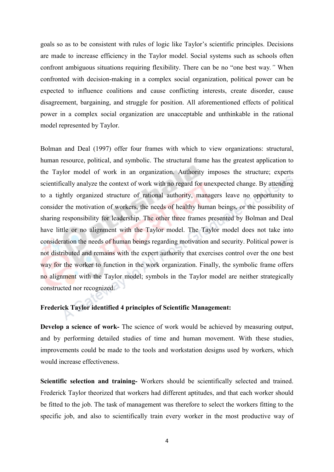goals so as to be consistent with rules of logic like Taylor's scientific principles. Decisions are made to increase efficiency in the Taylor model. Social systems such as schools often confront ambiguous situations requiring flexibility. There can be no "one best way*."* When confronted with decision-making in a complex social organization, political power can be expected to influence coalitions and cause conflicting interests, create disorder, cause disagreement, bargaining, and struggle for position. All aforementioned effects of political power in a complex social organization are unacceptable and unthinkable in the rational model represented by Taylor.

Bolman and Deal (1997) offer four frames with which to view organizations: structural, human resource, political, and symbolic. The structural frame has the greatest application to the Taylor model of work in an organization. Authority imposes the structure; experts scientifically analyze the context of work with no regard for unexpected change. By attending to a tightly organized structure of rational authority, managers leave no opportunity to consider the motivation of workers, the needs of healthy human beings, or the possibility of sharing responsibility for leadership. The other three frames presented by Bolman and Deal have little or no alignment with the Taylor model. The Taylor model does not take into consideration the needs of human beings regarding motivation and security. Political power is not distributed and remains with the expert authority that exercises control over the one best way for the worker to function in the work organization. Finally, the symbolic frame offers no alignment with the Taylor model; symbols in the Taylor model are neither strategically constructed nor recognized.

#### Frederick Taylor identified 4 principles of Scientific Management:

Develop a science of work- The science of work would be achieved by measuring output, and by performing detailed studies of time and human movement. With these studies, improvements could be made to the tools and workstation designs used by workers, which would increase effectiveness.

Scientific selection and training- Workers should be scientifically selected and trained. Frederick Taylor theorized that workers had different aptitudes, and that each worker should be fitted to the job. The task of management was therefore to select the workers fitting to the specific job, and also to scientifically train every worker in the most productive way of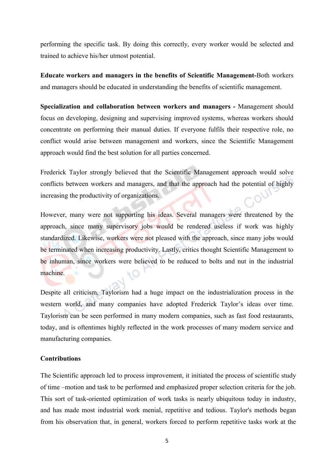performing the specific task. By doing this correctly, every worker would be selected and trained to achieve his/her utmost potential.

Educate workers and managers in the benefits of Scientific Management-Both workers and managers should be educated in understanding the benefits of scientific management.

Specialization and collaboration between workers and managers - Management should focus on developing, designing and supervising improved systems, whereas workers should concentrate on performing their manual duties. If everyone fulfils their respective role, no conflict would arise between management and workers, since the Scientific Management approach would find the best solution for all parties concerned.

Frederick Taylor strongly believed that the Scientific Management approach would solve conflicts between workers and managers, and that the approach had the potential of highly increasing the productivity of organizations.

However, many were not supporting his ideas. Several managers were threatened by the approach, since many supervisory jobs would be rendered useless if work was highly standardized. Likewise, workers were not pleased with the approach, since many jobs would be terminated when increasing productivity. Lastly, critics thought Scientific Management to be inhuman, since workers were believed to be reduced to bolts and nut in the industrial machine.

Despite all criticism, Taylorism had a huge impact on the industrialization process in the western world, and many companies have adopted Frederick Taylor's ideas over time. Taylorism can be seen performed in many modern companies, such as fast food restaurants, today, and is oftentimes highly reflected in the work processes of many modern service and manufacturing companies.

### **Contributions**

The Scientific approach led to process improvement, it initiated the process of scientific study of time –motion and task to be performed and emphasized proper selection criteria for the job. This sort of task-oriented optimization of work tasks is nearly ubiquitous today in industry, and has made most industrial work menial, repetitive and tedious. Taylor's methods began from his observation that, in general, [workers](http://en.wikipedia.org/wiki/Worker) forced to perform repetitive tasks work at the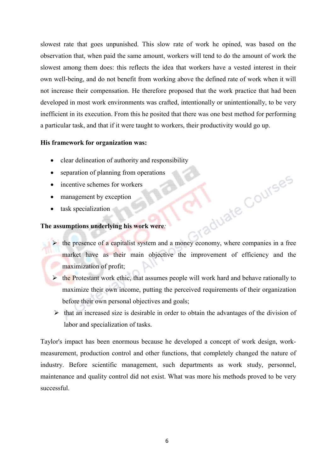slowest rate that goes [unpunished.](http://en.wikipedia.org/wiki/Punishment) This slow rate of work he opined, was based on the observation that, when paid the same amount, workers will tend to do the amount of work the slowest among them does: this reflects the idea that workers have a vested interest in their own well-being, and do not benefit from working above the defined rate of work when it will not increase their compensation. He therefore proposed that the work practice that had been developed in most work environments was crafted, intentionally or unintentionally, to be very inefficient in its execution. From this he posited that there was one best method for performing a particular task, and that if it were taught to workers, their productivity would go up.

### His framework for organization was:

- clear delineation of authority and responsibility
- separation of planning from operations
- incentive schemes for workers
- management by exception
- task specialization

### The assumptions underlying his work were*:*

- the presence of a capitalist system and a money economy, where companies in a free market have as their main objective the improvement of efficiency and the maximization of profit;
- $\triangleright$  the Protestant work ethic, that assumes people will work hard and behave rationally to maximize their own income, putting the perceived requirements of their organization before their own personal objectives and goals;
- $\triangleright$  that an increased size is desirable in order to obtain the advantages of the division of labor and specialization of tasks.

Taylor's impact has been enormous because he developed a concept of work design, workmeasurement, production control and other functions, that completely changed the nature of industry. Before scientific management, such departments as work study, personnel, maintenance and quality control did not exist. What was more his methods proved to be very successful.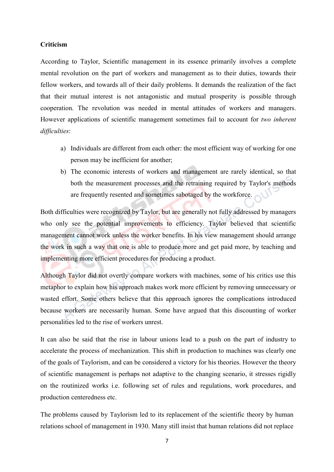#### Criticism

According to Taylor, Scientific management in its essence primarily involves a complete mental revolution on the part of workers and management as to their duties, towards their fellow workers, and towards all of their daily problems. It demands the realization of the fact that their mutual interest is not antagonistic and mutual prosperity is possible through cooperation. The revolution was needed in mental attitudes of workers and managers. However applications of scientific management sometimes fail to account for *two inherent difficulties*:

- a) Individuals are different from each other: the most efficient way of working for one person may be inefficient for another;
- b) The economic interests of workers and management are rarely identical, so that both the measurement processes and the retraining required by Taylor's methods are frequently resented and sometimes sabotaged by the workforce.

Both difficulties were recognized by Taylor, but are generally not fully addressed by managers who only see the potential improvements to efficiency. Taylor believed that scientific management cannot work unless the worker benefits. In his view management should arrange the work in such a way that one is able to produce more and get paid more, by teaching and implementing more efficient procedures for producing a product.

Although Taylor did not overtly compare workers with [machines,](http://en.wikipedia.org/wiki/Machine) some of his critics use this metaphor to explain how his approach makes work more efficient by removing unnecessary or wasted effort. Some others believe that this approach ignores the complications introduced because workers are necessarily human. Some have argued that this discounting of worker personalities led to the rise of workers unrest.

It can also be said that the rise in labour unions lead to a push on the part of industry to accelerate the process of mechanization. This shift in production to machines was clearly one of the goals of Taylorism, and can be considered a victory for his theories. However the theory of scientific management is perhaps not adaptive to the changing scenario, it stresses rigidly on the routinized works i.e. following set of rules and regulations, work procedures, and production centeredness etc.

The problems caused by Taylorism led to its replacement of the scientific theory by [human](http://en.wikipedia.org/wiki/Human_relations)  [relations](http://en.wikipedia.org/wiki/Human_relations) school of management in 1930. Many still insist that human relations did not replace